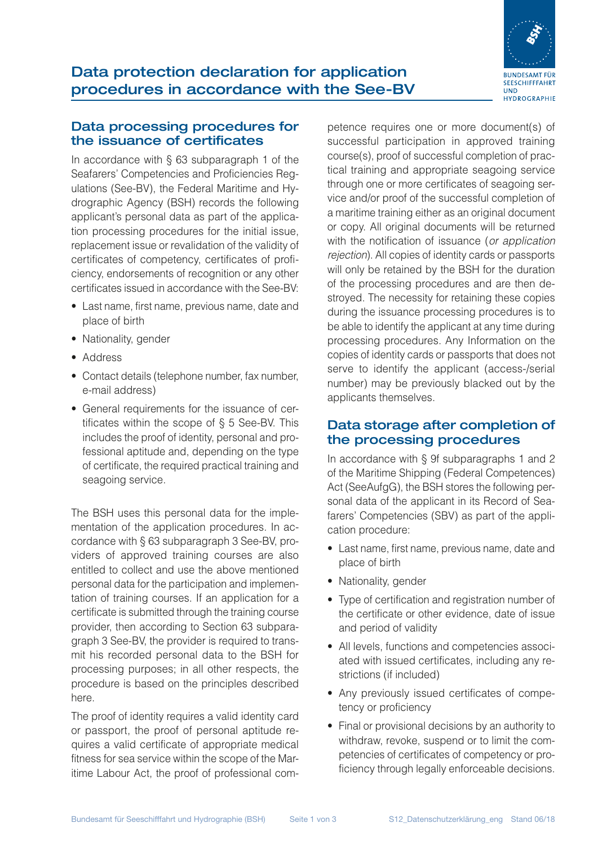

#### Data processing procedures for the issuance of certificates

In accordance with § 63 subparagraph 1 of the Seafarers' Competencies and Proficiencies Regulations (See-BV), the Federal Maritime and Hydrographic Agency (BSH) records the following applicant's personal data as part of the application processing procedures for the initial issue, replacement issue or revalidation of the validity of certificates of competency, certificates of proficiency, endorsements of recognition or any other certificates issued in accordance with the See-BV:

- Last name, first name, previous name, date and place of birth
- Nationality, gender
- Address
- Contact details (telephone number, fax number, e-mail address)
- General requirements for the issuance of certificates within the scope of § 5 See-BV. This includes the proof of identity, personal and professional aptitude and, depending on the type of certificate, the required practical training and seagoing service.

The BSH uses this personal data for the implementation of the application procedures. In accordance with § 63 subparagraph 3 See-BV, providers of approved training courses are also entitled to collect and use the above mentioned personal data for the participation and implementation of training courses. If an application for a certificate is submitted through the training course provider, then according to Section 63 subparagraph 3 See-BV, the provider is required to transmit his recorded personal data to the BSH for processing purposes; in all other respects, the procedure is based on the principles described here.

The proof of identity requires a valid identity card or passport, the proof of personal aptitude requires a valid certificate of appropriate medical fitness for sea service within the scope of the Maritime Labour Act, the proof of professional competence requires one or more document(s) of successful participation in approved training course(s), proof of successful completion of practical training and appropriate seagoing service through one or more certificates of seagoing service and/or proof of the successful completion of a maritime training either as an original document or copy. All original documents will be returned with the notification of issuance (*or application rejection*). All copies of identity cards or passports will only be retained by the BSH for the duration of the processing procedures and are then destroyed. The necessity for retaining these copies during the issuance processing procedures is to be able to identify the applicant at any time during processing procedures. Any Information on the copies of identity cards or passports that does not serve to identify the applicant (access-/serial number) may be previously blacked out by the applicants themselves.

#### Data storage after completion of the processing procedures

In accordance with § 9f subparagraphs 1 and 2 of the Maritime Shipping (Federal Competences) Act (SeeAufgG), the BSH stores the following personal data of the applicant in its Record of Seafarers' Competencies (SBV) as part of the application procedure:

- Last name, first name, previous name, date and place of birth
- Nationality, gender
- Type of certification and registration number of the certificate or other evidence, date of issue and period of validity
- All levels, functions and competencies associated with issued certificates, including any restrictions (if included)
- Any previously issued certificates of competency or proficiency
- Final or provisional decisions by an authority to withdraw, revoke, suspend or to limit the competencies of certificates of competency or proficiency through legally enforceable decisions.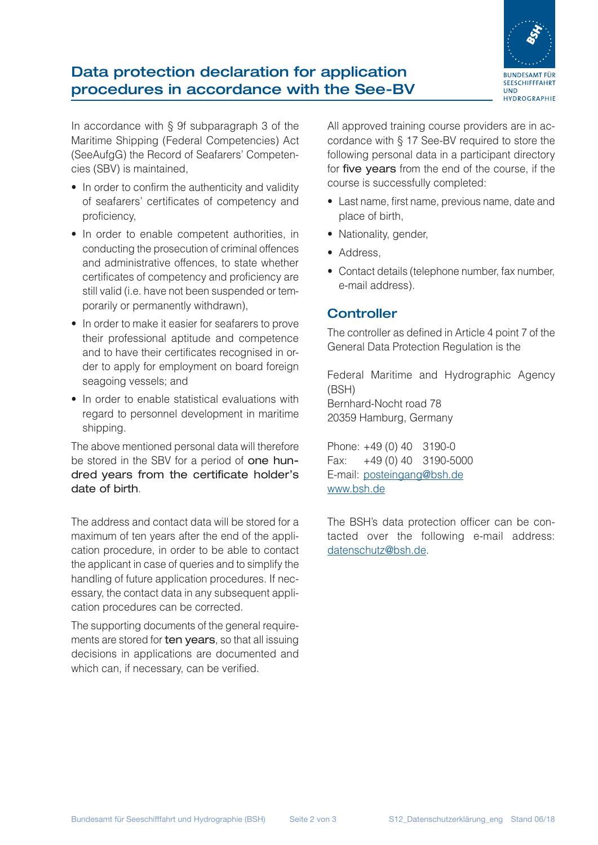

# Data protection declaration for application procedures in accordance with the See-BV

In accordance with § 9f subparagraph 3 of the Maritime Shipping (Federal Competencies) Act (SeeAufgG) the Record of Seafarers' Competencies (SBV) is maintained,

- In order to confirm the authenticity and validity of seafarers' certificates of competency and proficiency,
- In order to enable competent authorities, in conducting the prosecution of criminal offences and administrative offences, to state whether certificates of competency and proficiency are still valid (i.e. have not been suspended or temporarily or permanently withdrawn),
- In order to make it easier for seafarers to prove their professional aptitude and competence and to have their certificates recognised in order to apply for employment on board foreign seagoing vessels; and
- In order to enable statistical evaluations with regard to personnel development in maritime shipping.

The above mentioned personal data will therefore be stored in the SBV for a period of one hundred years from the certificate holder's date of birth.

The address and contact data will be stored for a maximum of ten years after the end of the application procedure, in order to be able to contact the applicant in case of queries and to simplify the handling of future application procedures. If necessary, the contact data in any subsequent application procedures can be corrected.

The supporting documents of the general requirements are stored for ten years, so that all issuing decisions in applications are documented and which can, if necessary, can be verified.

All approved training course providers are in accordance with § 17 See-BV required to store the following personal data in a participant directory for five years from the end of the course, if the course is successfully completed:

- Last name, first name, previous name, date and place of birth,
- Nationality, gender,
- Address,
- Contact details (telephone number, fax number, e-mail address).

### **Controller**

The controller as defined in Article 4 point 7 of the General Data Protection Regulation is the

Federal Maritime and Hydrographic Agency (BSH) Bernhard-Nocht road 78 20359 Hamburg, Germany

Phone: +49 (0) 40 3190-0 Fax: +49 (0) 40 3190-5000 E-mail: [posteingang@bsh.de](mailto:posteingang%40bsh.de?subject=) [www.bsh.de](http://www.bsh.de)

The BSH's data protection officer can be contacted over the following e-mail address: [datenschutz@bsh.de](mailto:datenschutz%40bsh.de?subject=Datenschutz).